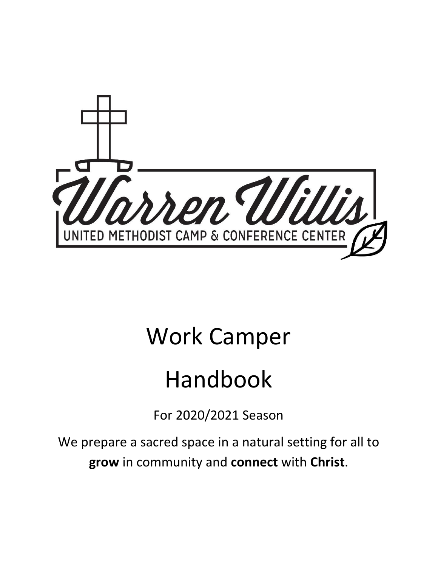

# Work Camper

# Handbook

For 2020/2021 Season

We prepare a sacred space in a natural setting for all to **grow** in community and **connect** with **Christ**.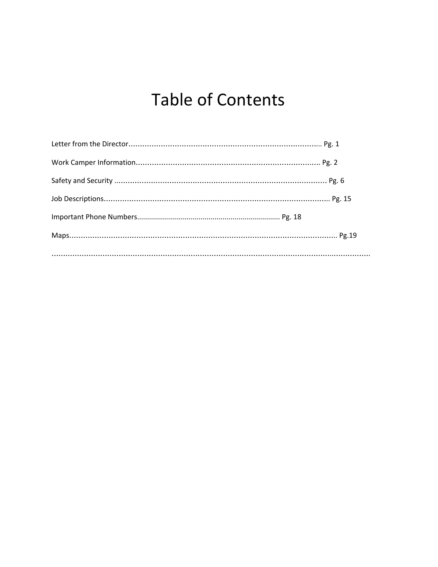## Table of Contents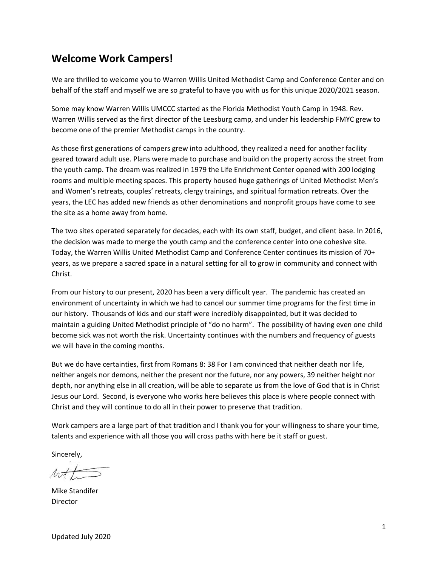### **Welcome Work Campers!**

We are thrilled to welcome you to Warren Willis United Methodist Camp and Conference Center and on behalf of the staff and myself we are so grateful to have you with us for this unique 2020/2021 season.

Some may know Warren Willis UMCCC started as the Florida Methodist Youth Camp in 1948. Rev. Warren Willis served as the first director of the Leesburg camp, and under his leadership FMYC grew to become one of the premier Methodist camps in the country.

As those first generations of campers grew into adulthood, they realized a need for another facility geared toward adult use. Plans were made to purchase and build on the property across the street from the youth camp. The dream was realized in 1979 the Life Enrichment Center opened with 200 lodging rooms and multiple meeting spaces. This property housed huge gatherings of United Methodist Men's and Women's retreats, couples' retreats, clergy trainings, and spiritual formation retreats. Over the years, the LEC has added new friends as other denominations and nonprofit groups have come to see the site as a home away from home.

The two sites operated separately for decades, each with its own staff, budget, and client base. In 2016, the decision was made to merge the youth camp and the conference center into one cohesive site. Today, the Warren Willis United Methodist Camp and Conference Center continues its mission of 70+ years, as we prepare a sacred space in a natural setting for all to grow in community and connect with Christ.

From our history to our present, 2020 has been a very difficult year. The pandemic has created an environment of uncertainty in which we had to cancel our summer time programs for the first time in our history. Thousands of kids and our staff were incredibly disappointed, but it was decided to maintain a guiding United Methodist principle of "do no harm". The possibility of having even one child become sick was not worth the risk. Uncertainty continues with the numbers and frequency of guests we will have in the coming months.

But we do have certainties, first from Romans 8: 38 For I am convinced that neither death nor life, neither angels nor demons, neither the present nor the future, nor any powers, 39 neither height nor depth, nor anything else in all creation, will be able to separate us from the love of God that is in Christ Jesus our Lord. Second, is everyone who works here believes this place is where people connect with Christ and they will continue to do all in their power to preserve that tradition.

Work campers are a large part of that tradition and I thank you for your willingness to share your time, talents and experience with all those you will cross paths with here be it staff or guest.

Sincerely,

Mike Standifer Director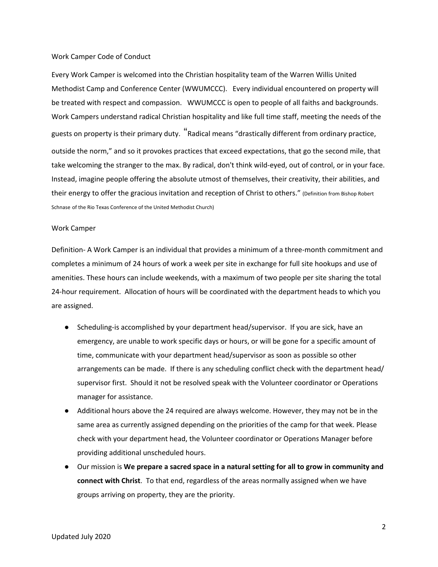#### Work Camper Code of Conduct

Every Work Camper is welcomed into the Christian hospitality team of the Warren Willis United Methodist Camp and Conference Center (WWUMCCC). Every individual encountered on property will be treated with respect and compassion. WWUMCCC is open to people of all faiths and backgrounds. Work Campers understand radical Christian hospitality and like full time staff, meeting the needs of the guests on property is their primary duty. "Radical means "drastically different from ordinary practice, outside the norm," and so it provokes practices that exceed expectations, that go the second mile, that take welcoming the stranger to the max. By radical, don't think wild-eyed, out of control, or in your face. Instead, imagine people offering the absolute utmost of themselves, their creativity, their abilities, and their energy to offer the gracious invitation and reception of Christ to others." (Definition from Bishop Robert Schnase of the Rio Texas Conference of the United Methodist Church)

#### Work Camper

Definition- A Work Camper is an individual that provides a minimum of a three-month commitment and completes a minimum of 24 hours of work a week per site in exchange for full site hookups and use of amenities. These hours can include weekends, with a maximum of two people per site sharing the total 24-hour requirement. Allocation of hours will be coordinated with the department heads to which you are assigned.

- Scheduling-is accomplished by your department head/supervisor. If you are sick, have an emergency, are unable to work specific days or hours, or will be gone for a specific amount of time, communicate with your department head/supervisor as soon as possible so other arrangements can be made. If there is any scheduling conflict check with the department head/ supervisor first. Should it not be resolved speak with the Volunteer coordinator or Operations manager for assistance.
- Additional hours above the 24 required are always welcome. However, they may not be in the same area as currently assigned depending on the priorities of the camp for that week. Please check with your department head, the Volunteer coordinator or Operations Manager before providing additional unscheduled hours.
- Our mission is **We prepare a sacred space in a natural setting for all to grow in community and connect with Christ**. To that end, regardless of the areas normally assigned when we have groups arriving on property, they are the priority.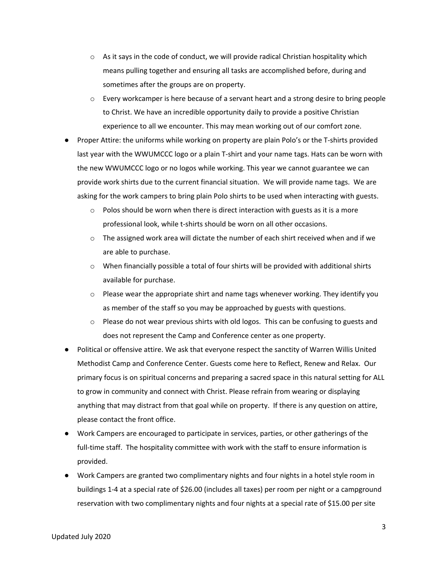- $\circ$  As it says in the code of conduct, we will provide radical Christian hospitality which means pulling together and ensuring all tasks are accomplished before, during and sometimes after the groups are on property.
- o Every workcamper is here because of a servant heart and a strong desire to bring people to Christ. We have an incredible opportunity daily to provide a positive Christian experience to all we encounter. This may mean working out of our comfort zone.
- Proper Attire: the uniforms while working on property are plain Polo's or the T-shirts provided last year with the WWUMCCC logo or a plain T-shirt and your name tags. Hats can be worn with the new WWUMCCC logo or no logos while working. This year we cannot guarantee we can provide work shirts due to the current financial situation. We will provide name tags. We are asking for the work campers to bring plain Polo shirts to be used when interacting with guests.
	- $\circ$  Polos should be worn when there is direct interaction with guests as it is a more professional look, while t-shirts should be worn on all other occasions.
	- $\circ$  The assigned work area will dictate the number of each shirt received when and if we are able to purchase.
	- $\circ$  When financially possible a total of four shirts will be provided with additional shirts available for purchase.
	- $\circ$  Please wear the appropriate shirt and name tags whenever working. They identify you as member of the staff so you may be approached by guests with questions.
	- $\circ$  Please do not wear previous shirts with old logos. This can be confusing to guests and does not represent the Camp and Conference center as one property.
- Political or offensive attire. We ask that everyone respect the sanctity of Warren Willis United Methodist Camp and Conference Center. Guests come here to Reflect, Renew and Relax. Our primary focus is on spiritual concerns and preparing a sacred space in this natural setting for ALL to grow in community and connect with Christ. Please refrain from wearing or displaying anything that may distract from that goal while on property. If there is any question on attire, please contact the front office.
- Work Campers are encouraged to participate in services, parties, or other gatherings of the full-time staff. The hospitality committee with work with the staff to ensure information is provided.
- Work Campers are granted two complimentary nights and four nights in a hotel style room in buildings 1-4 at a special rate of \$26.00 (includes all taxes) per room per night or a campground reservation with two complimentary nights and four nights at a special rate of \$15.00 per site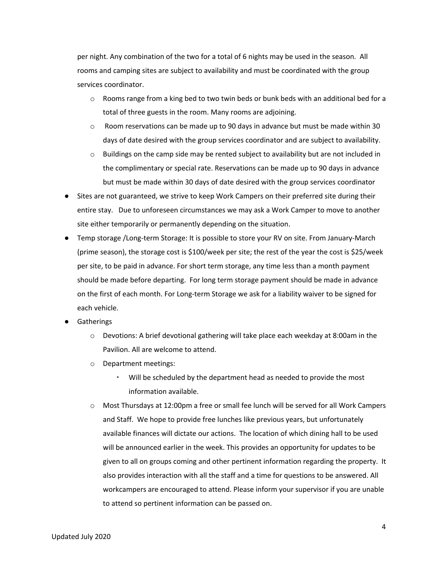per night. Any combination of the two for a total of 6 nights may be used in the season. All rooms and camping sites are subject to availability and must be coordinated with the group services coordinator.

- $\circ$  Rooms range from a king bed to two twin beds or bunk beds with an additional bed for a total of three guests in the room. Many rooms are adjoining.
- $\circ$  Room reservations can be made up to 90 days in advance but must be made within 30 days of date desired with the group services coordinator and are subject to availability.
- $\circ$  Buildings on the camp side may be rented subject to availability but are not included in the complimentary or special rate. Reservations can be made up to 90 days in advance but must be made within 30 days of date desired with the group services coordinator
- Sites are not guaranteed, we strive to keep Work Campers on their preferred site during their entire stay. Due to unforeseen circumstances we may ask a Work Camper to move to another site either temporarily or permanently depending on the situation.
- Temp storage /Long-term Storage: It is possible to store your RV on site. From January-March (prime season), the storage cost is \$100/week per site; the rest of the year the cost is \$25/week per site, to be paid in advance. For short term storage, any time less than a month payment should be made before departing. For long term storage payment should be made in advance on the first of each month. For Long-term Storage we ask for a liability waiver to be signed for each vehicle.
- **Gatherings** 
	- $\circ$  Devotions: A brief devotional gathering will take place each weekday at 8:00am in the Pavilion. All are welcome to attend.
	- o Department meetings:
		- Will be scheduled by the department head as needed to provide the most information available.
	- o Most Thursdays at 12:00pm a free or small fee lunch will be served for all Work Campers and Staff. We hope to provide free lunches like previous years, but unfortunately available finances will dictate our actions. The location of which dining hall to be used will be announced earlier in the week. This provides an opportunity for updates to be given to all on groups coming and other pertinent information regarding the property. It also provides interaction with all the staff and a time for questions to be answered. All workcampers are encouraged to attend. Please inform your supervisor if you are unable to attend so pertinent information can be passed on.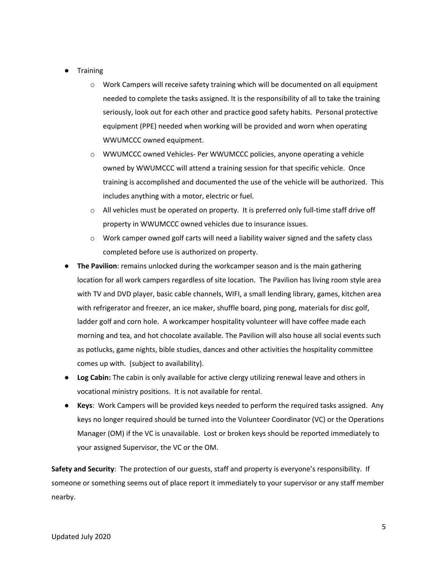- **Training** 
	- $\circ$  Work Campers will receive safety training which will be documented on all equipment needed to complete the tasks assigned. It is the responsibility of all to take the training seriously, look out for each other and practice good safety habits. Personal protective equipment (PPE) needed when working will be provided and worn when operating WWUMCCC owned equipment.
	- o WWUMCCC owned Vehicles- Per WWUMCCC policies, anyone operating a vehicle owned by WWUMCCC will attend a training session for that specific vehicle. Once training is accomplished and documented the use of the vehicle will be authorized. This includes anything with a motor, electric or fuel.
	- $\circ$  All vehicles must be operated on property. It is preferred only full-time staff drive off property in WWUMCCC owned vehicles due to insurance issues.
	- $\circ$  Work camper owned golf carts will need a liability waiver signed and the safety class completed before use is authorized on property.
- **The Pavilion**: remains unlocked during the workcamper season and is the main gathering location for all work campers regardless of site location. The Pavilion has living room style area with TV and DVD player, basic cable channels, WIFI, a small lending library, games, kitchen area with refrigerator and freezer, an ice maker, shuffle board, ping pong, materials for disc golf, ladder golf and corn hole. A workcamper hospitality volunteer will have coffee made each morning and tea, and hot chocolate available. The Pavilion will also house all social events such as potlucks, game nights, bible studies, dances and other activities the hospitality committee comes up with. (subject to availability).
- **Log Cabin:** The cabin is only available for active clergy utilizing renewal leave and others in vocational ministry positions. It is not available for rental.
- **Keys**: Work Campers will be provided keys needed to perform the required tasks assigned. Any keys no longer required should be turned into the Volunteer Coordinator (VC) or the Operations Manager (OM) if the VC is unavailable. Lost or broken keys should be reported immediately to your assigned Supervisor, the VC or the OM.

**Safety and Security**: The protection of our guests, staff and property is everyone's responsibility. If someone or something seems out of place report it immediately to your supervisor or any staff member nearby.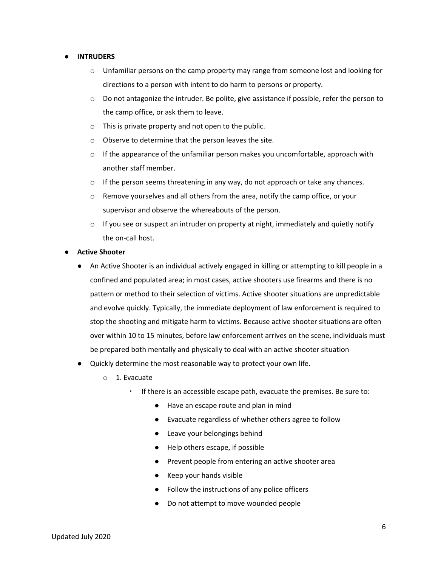#### **● INTRUDERS**

- $\circ$  Unfamiliar persons on the camp property may range from someone lost and looking for directions to a person with intent to do harm to persons or property.
- $\circ$  Do not antagonize the intruder. Be polite, give assistance if possible, refer the person to the camp office, or ask them to leave.
- o This is private property and not open to the public.
- o Observe to determine that the person leaves the site.
- $\circ$  If the appearance of the unfamiliar person makes you uncomfortable, approach with another staff member.
- $\circ$  If the person seems threatening in any way, do not approach or take any chances.
- o Remove yourselves and all others from the area, notify the camp office, or your supervisor and observe the whereabouts of the person.
- $\circ$  If you see or suspect an intruder on property at night, immediately and quietly notify the on-call host.
- **● Active Shooter**
	- An Active Shooter is an individual actively engaged in killing or attempting to kill people in a confined and populated area; in most cases, active shooters use firearms and there is no pattern or method to their selection of victims. Active shooter situations are unpredictable and evolve quickly. Typically, the immediate deployment of law enforcement is required to stop the shooting and mitigate harm to victims. Because active shooter situations are often over within 10 to 15 minutes, before law enforcement arrives on the scene, individuals must be prepared both mentally and physically to deal with an active shooter situation
	- Quickly determine the most reasonable way to protect your own life.
		- o 1. Evacuate
			- If there is an accessible escape path, evacuate the premises. Be sure to:
				- Have an escape route and plan in mind
				- Evacuate regardless of whether others agree to follow
				- Leave your belongings behind
				- Help others escape, if possible
				- Prevent people from entering an active shooter area
				- Keep your hands visible
				- Follow the instructions of any police officers
				- Do not attempt to move wounded people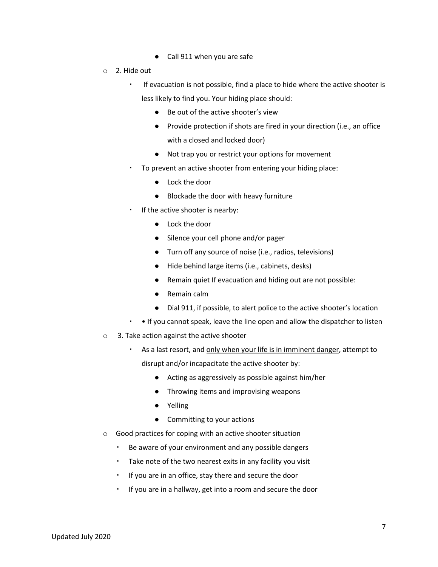- Call 911 when you are safe
- o 2. Hide out
	- If evacuation is not possible, find a place to hide where the active shooter is less likely to find you. Your hiding place should:
		- Be out of the active shooter's view
		- Provide protection if shots are fired in your direction (i.e., an office with a closed and locked door)
		- Not trap you or restrict your options for movement
	- To prevent an active shooter from entering your hiding place:
		- Lock the door
		- Blockade the door with heavy furniture
	- If the active shooter is nearby:
		- Lock the door
		- Silence your cell phone and/or pager
		- Turn off any source of noise (i.e., radios, televisions)
		- Hide behind large items (i.e., cabinets, desks)
		- Remain quiet If evacuation and hiding out are not possible:
		- Remain calm
		- Dial 911, if possible, to alert police to the active shooter's location
	- If you cannot speak, leave the line open and allow the dispatcher to listen
- o 3. Take action against the active shooter
	- . As a last resort, and only when your life is in imminent danger, attempt to disrupt and/or incapacitate the active shooter by:
		- Acting as aggressively as possible against him/her
		- Throwing items and improvising weapons
		- Yelling
		- Committing to your actions
- o Good practices for coping with an active shooter situation
	- Be aware of your environment and any possible dangers
	- Take note of the two nearest exits in any facility you visit
	- If you are in an office, stay there and secure the door
	- If you are in a hallway, get into a room and secure the door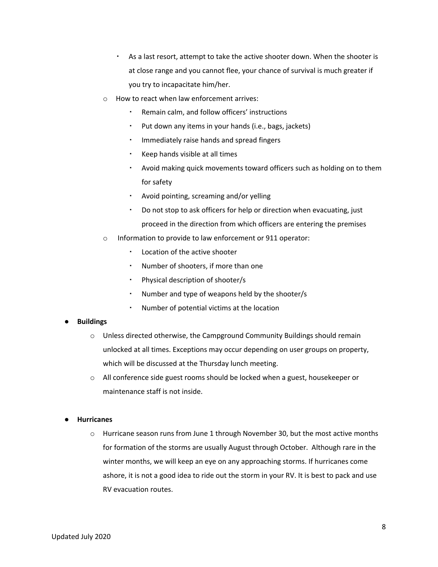- As a last resort, attempt to take the active shooter down. When the shooter is at close range and you cannot flee, your chance of survival is much greater if you try to incapacitate him/her.
- o How to react when law enforcement arrives:
	- Remain calm, and follow officers' instructions
	- Put down any items in your hands (i.e., bags, jackets)
	- Immediately raise hands and spread fingers
	- Keep hands visible at all times
	- Avoid making quick movements toward officers such as holding on to them for safety
	- Avoid pointing, screaming and/or yelling
	- Do not stop to ask officers for help or direction when evacuating, just proceed in the direction from which officers are entering the premises
- o Information to provide to law enforcement or 911 operator:
	- Location of the active shooter
	- Number of shooters, if more than one
	- Physical description of shooter/s
	- Number and type of weapons held by the shooter/s
	- Number of potential victims at the location

#### **● Buildings**

- $\circ$  Unless directed otherwise, the Campground Community Buildings should remain unlocked at all times. Exceptions may occur depending on user groups on property, which will be discussed at the Thursday lunch meeting.
- o All conference side guest rooms should be locked when a guest, housekeeper or maintenance staff is not inside.

#### **● Hurricanes**

 $\circ$  Hurricane season runs from June 1 through November 30, but the most active months for formation of the storms are usually August through October. Although rare in the winter months, we will keep an eye on any approaching storms. If hurricanes come ashore, it is not a good idea to ride out the storm in your RV. It is best to pack and use RV evacuation routes.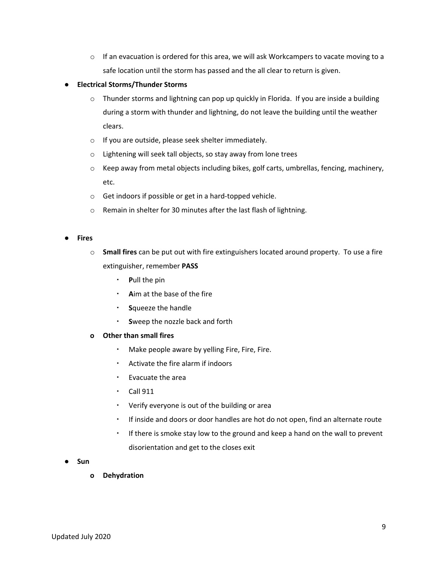- $\circ$  If an evacuation is ordered for this area, we will ask Workcampers to vacate moving to a safe location until the storm has passed and the all clear to return is given.
- **● Electrical Storms/Thunder Storms**
	- o Thunder storms and lightning can pop up quickly in Florida. If you are inside a building during a storm with thunder and lightning, do not leave the building until the weather clears.
	- o If you are outside, please seek shelter immediately.
	- o Lightening will seek tall objects, so stay away from lone trees
	- o Keep away from metal objects including bikes, golf carts, umbrellas, fencing, machinery, etc.
	- o Get indoors if possible or get in a hard-topped vehicle.
	- o Remain in shelter for 30 minutes after the last flash of lightning.

#### **● Fires**

- o **Small fires** can be put out with fire extinguishers located around property. To use a fire extinguisher, remember **PASS**
	- **P**ull the pin
	- Aim at the base of the fire
	- **S**queeze the handle
	- **S**weep the nozzle back and forth
- **o Other than small fires**
	- Make people aware by yelling Fire, Fire, Fire.
	- Activate the fire alarm if indoors
	- Evacuate the area
	- Call 911
	- Verify everyone is out of the building or area
	- If inside and doors or door handles are hot do not open, find an alternate route
	- If there is smoke stay low to the ground and keep a hand on the wall to prevent disorientation and get to the closes exit
- **● Sun**
	- **o Dehydration**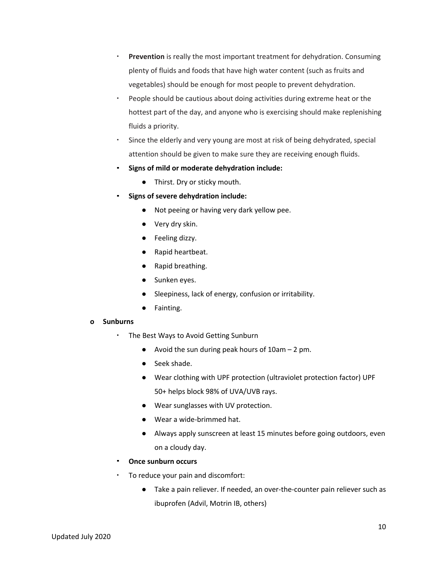- **Prevention** is really the most important treatment for dehydration. Consuming plenty of fluids and foods that have high water content (such as fruits and vegetables) should be enough for most people to prevent dehydration.
- People should be cautious about doing activities during extreme heat or the hottest part of the day, and anyone who is exercising should make replenishing fluids a priority.
- Since the elderly and very young are most at risk of being dehydrated, special attention should be given to make sure they are receiving enough fluids.
- **Signs of mild or moderate dehydration include:**
	- Thirst. Dry or sticky mouth.
- **Signs of severe dehydration include:**
	- Not peeing or having very dark yellow pee.
	- Very dry skin.
	- Feeling dizzy.
	- Rapid heartbeat.
	- Rapid breathing.
	- Sunken eyes.
	- Sleepiness, lack of energy, confusion or irritability.
	- **●** Fainting.

#### **o Sunburns**

- The Best Ways to Avoid Getting Sunburn
	- Avoid the sun during peak hours of  $10$ am  $-2$  pm.
	- Seek shade.
	- Wear clothing with UPF protection (ultraviolet protection factor) UPF 50+ helps block 98% of UVA/UVB rays.
	- Wear sunglasses with UV protection.
	- Wear a wide-brimmed hat.
	- Always apply sunscreen at least 15 minutes before going outdoors, even on a cloudy day.
- **Once sunburn occurs**
- To reduce your pain and discomfort:
	- Take a pain reliever. If needed, an over-the-counter pain reliever such as ibuprofen (Advil, Motrin IB, others)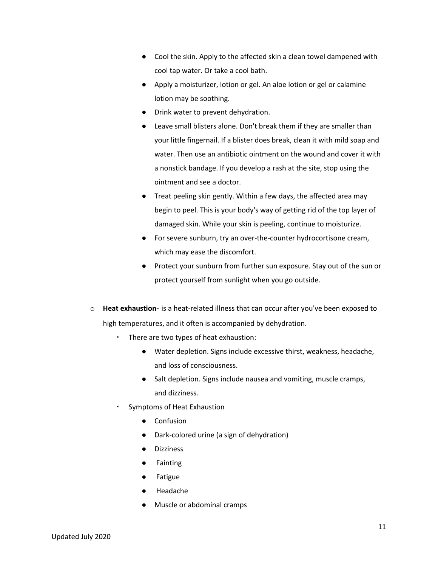- Cool the skin. Apply to the affected skin a clean towel dampened with cool tap water. Or take a cool bath.
- Apply a moisturizer, lotion or gel. An aloe lotion or gel or calamine lotion may be soothing.
- Drink water to prevent dehydration.
- Leave small blisters alone. Don't break them if they are smaller than your little fingernail. If a blister does break, clean it with mild soap and water. Then use an antibiotic ointment on the wound and cover it with a nonstick bandage. If you develop a rash at the site, stop using the ointment and see a doctor.
- Treat peeling skin gently. Within a few days, the affected area may begin to peel. This is your body's way of getting rid of the top layer of damaged skin. While your skin is peeling, continue to moisturize.
- For severe sunburn, try an over-the-counter hydrocortisone cream, which may ease the discomfort.
- Protect your sunburn from further sun exposure. Stay out of the sun or protect yourself from sunlight when you go outside.
- o **Heat exhaustion** is a heat-related illness that can occur after you've been exposed to high temperatures, and it often is accompanied by dehydration.
	- There are two types of heat exhaustion:
		- Water depletion. Signs include excessive thirst, weakness, headache, and loss of consciousness.
		- Salt depletion. Signs include nausea and vomiting, muscle cramps, and dizziness.
	- Symptoms of Heat Exhaustion
		- **Confusion**
		- Dark-colored urine (a sign of dehydration)
		- Dizziness
		- **Fainting**
		- **Fatigue**
		- Headache
		- Muscle or abdominal cramps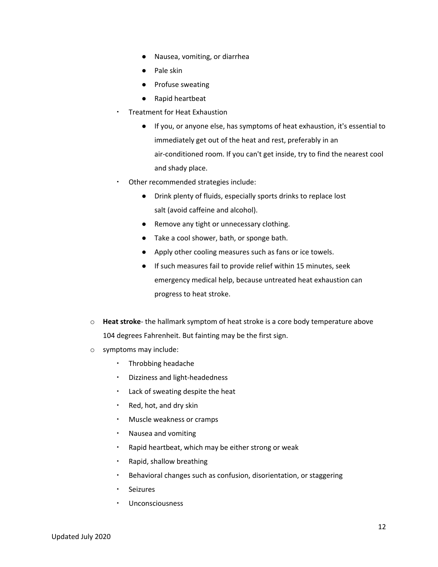- Nausea, vomiting, or diarrhea
- Pale skin
- Profuse sweating
- Rapid heartbeat
- **Treatment for Heat Exhaustion** 
	- If you, or anyone else, has symptoms of heat exhaustion, it's essential to immediately get out of the heat and rest, preferably in an air-conditioned room. If you can't get inside, try to find the nearest cool and shady place.
- Other recommended strategies include:
	- Drink plenty of fluids, especially sports drinks to replace lost salt (avoid caffeine and alcohol).
	- Remove any tight or unnecessary clothing.
	- Take a cool shower, bath, or sponge bath.
	- Apply other cooling measures such as fans or ice towels.
	- If such measures fail to provide relief within 15 minutes, seek emergency medical help, because untreated heat exhaustion can progress to heat stroke.
- o **Heat stroke** the hallmark symptom of heat stroke is a core body temperature above 104 degrees Fahrenheit. But fainting may be the first sign.
- o symptoms may include:
	- Throbbing headache
	- Dizziness and light-headedness
	- Lack of sweating despite the heat
	- Red, hot, and dry skin
	- Muscle weakness or cramps
	- Nausea and vomiting
	- Rapid heartbeat, which may be either strong or weak
	- Rapid, shallow breathing
	- Behavioral changes such as confusion, disorientation, or staggering
	- Seizures
	- **Unconsciousness**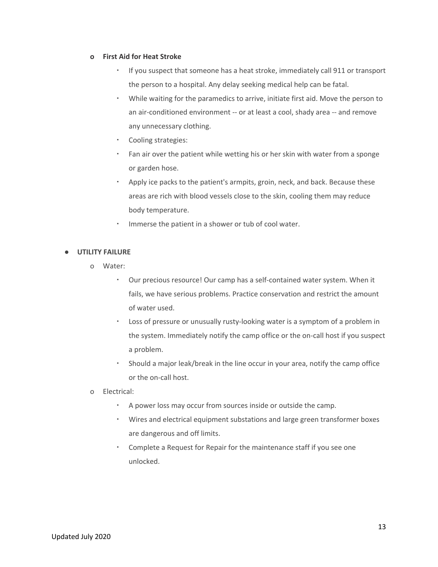#### **o First Aid for Heat Stroke**

- If you suspect that someone has a heat stroke, immediately call 911 or transport the person to a hospital. Any delay seeking medical help can be fatal.
- While waiting for the paramedics to arrive, initiate first aid. Move the person to an air-conditioned environment -- or at least a cool, shady area -- and remove any unnecessary clothing.
- Cooling strategies:
- Fan air over the patient while wetting his or her skin with water from a sponge or garden hose.
- Apply ice packs to the patient's armpits, groin, neck, and back. Because these areas are rich with blood vessels close to the skin, cooling them may reduce body temperature.
- Immerse the patient in a shower or tub of cool water.

#### **● UTILITY FAILURE**

- o Water:
	- Our precious resource! Our camp has a self-contained water system. When it fails, we have serious problems. Practice conservation and restrict the amount of water used.
	- Loss of pressure or unusually rusty-looking water is a symptom of a problem in the system. Immediately notify the camp office or the on-call host if you suspect a problem.
	- Should a major leak/break in the line occur in your area, notify the camp office or the on-call host.
- o Electrical:
	- A power loss may occur from sources inside or outside the camp.
	- Wires and electrical equipment substations and large green transformer boxes are dangerous and off limits.
	- Complete a Request for Repair for the maintenance staff if you see one unlocked.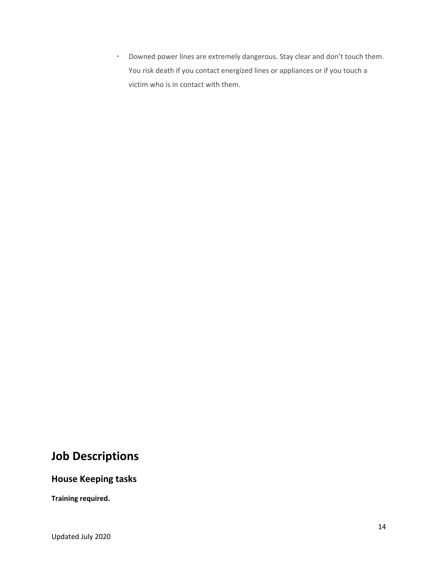▪ Downed power lines are extremely dangerous. Stay clear and don't touch them. You risk death if you contact energized lines or appliances or if you touch a victim who is in contact with them.

### **Job Descriptions**

#### **House Keeping tasks**

**Training required.**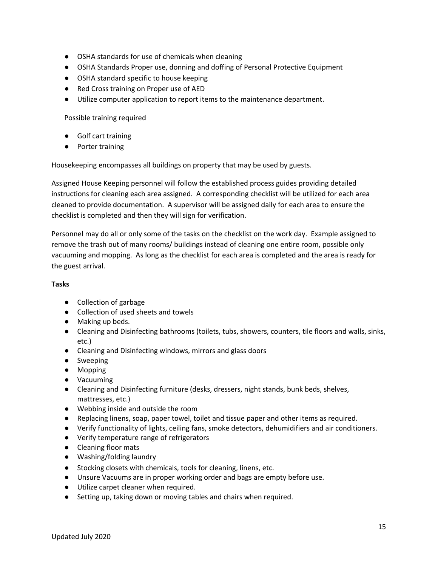- OSHA standards for use of chemicals when cleaning
- OSHA Standards Proper use, donning and doffing of Personal Protective Equipment
- OSHA standard specific to house keeping
- Red Cross training on Proper use of AED
- Utilize computer application to report items to the maintenance department.

Possible training required

- Golf cart training
- Porter training

Housekeeping encompasses all buildings on property that may be used by guests.

Assigned House Keeping personnel will follow the established process guides providing detailed instructions for cleaning each area assigned. A corresponding checklist will be utilized for each area cleaned to provide documentation. A supervisor will be assigned daily for each area to ensure the checklist is completed and then they will sign for verification.

Personnel may do all or only some of the tasks on the checklist on the work day. Example assigned to remove the trash out of many rooms/ buildings instead of cleaning one entire room, possible only vacuuming and mopping. As long as the checklist for each area is completed and the area is ready for the guest arrival.

#### **Tasks**

- Collection of garbage
- Collection of used sheets and towels
- Making up beds.
- Cleaning and Disinfecting bathrooms (toilets, tubs, showers, counters, tile floors and walls, sinks, etc.)
- Cleaning and Disinfecting windows, mirrors and glass doors
- Sweeping
- Mopping
- Vacuuming
- Cleaning and Disinfecting furniture (desks, dressers, night stands, bunk beds, shelves, mattresses, etc.)
- Webbing inside and outside the room
- Replacing linens, soap, paper towel, toilet and tissue paper and other items as required.
- Verify functionality of lights, ceiling fans, smoke detectors, dehumidifiers and air conditioners.
- Verify temperature range of refrigerators
- Cleaning floor mats
- Washing/folding laundry
- Stocking closets with chemicals, tools for cleaning, linens, etc.
- Unsure Vacuums are in proper working order and bags are empty before use.
- Utilize carpet cleaner when required.
- Setting up, taking down or moving tables and chairs when required.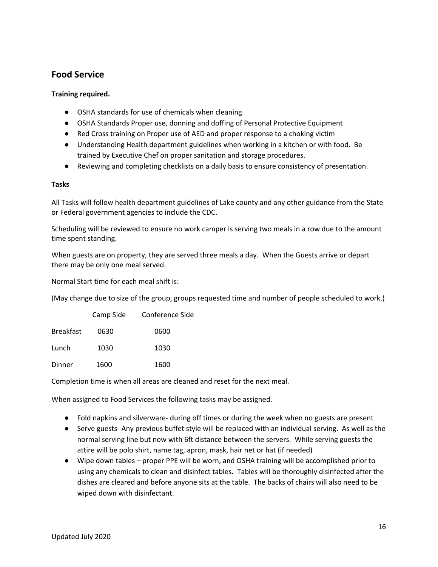#### **Food Service**

#### **Training required.**

- OSHA standards for use of chemicals when cleaning
- OSHA Standards Proper use, donning and doffing of Personal Protective Equipment
- Red Cross training on Proper use of AED and proper response to a choking victim
- Understanding Health department guidelines when working in a kitchen or with food. Be trained by Executive Chef on proper sanitation and storage procedures.
- Reviewing and completing checklists on a daily basis to ensure consistency of presentation.

#### **Tasks**

All Tasks will follow health department guidelines of Lake county and any other guidance from the State or Federal government agencies to include the CDC.

Scheduling will be reviewed to ensure no work camper is serving two meals in a row due to the amount time spent standing.

When guests are on property, they are served three meals a day. When the Guests arrive or depart there may be only one meal served.

Normal Start time for each meal shift is:

(May change due to size of the group, groups requested time and number of people scheduled to work.)

|                  | Camp Side | Conference Side |
|------------------|-----------|-----------------|
| <b>Breakfast</b> | 0630      | 0600            |
| Lunch            | 1030      | 1030            |
| Dinner           | 1600      | 1600            |

Completion time is when all areas are cleaned and reset for the next meal.

When assigned to Food Services the following tasks may be assigned.

- Fold napkins and silverware- during off times or during the week when no guests are present
- Serve guests- Any previous buffet style will be replaced with an individual serving. As well as the normal serving line but now with 6ft distance between the servers. While serving guests the attire will be polo shirt, name tag, apron, mask, hair net or hat (if needed)
- Wipe down tables proper PPE will be worn, and OSHA training will be accomplished prior to using any chemicals to clean and disinfect tables. Tables will be thoroughly disinfected after the dishes are cleared and before anyone sits at the table. The backs of chairs will also need to be wiped down with disinfectant.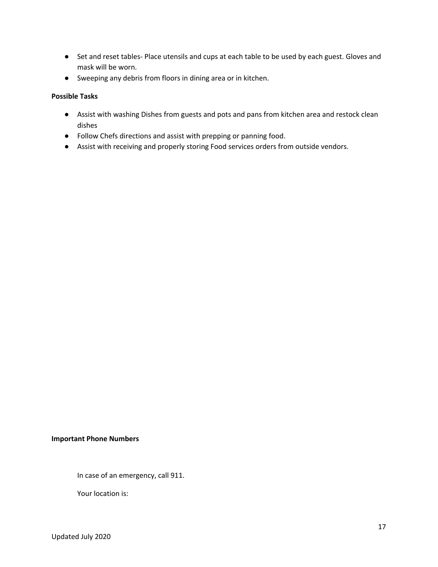- Set and reset tables- Place utensils and cups at each table to be used by each guest. Gloves and mask will be worn.
- Sweeping any debris from floors in dining area or in kitchen.

#### **Possible Tasks**

- Assist with washing Dishes from guests and pots and pans from kitchen area and restock clean dishes
- Follow Chefs directions and assist with prepping or panning food.
- Assist with receiving and properly storing Food services orders from outside vendors.

#### **Important Phone Numbers**

In case of an emergency, call 911.

Your location is: